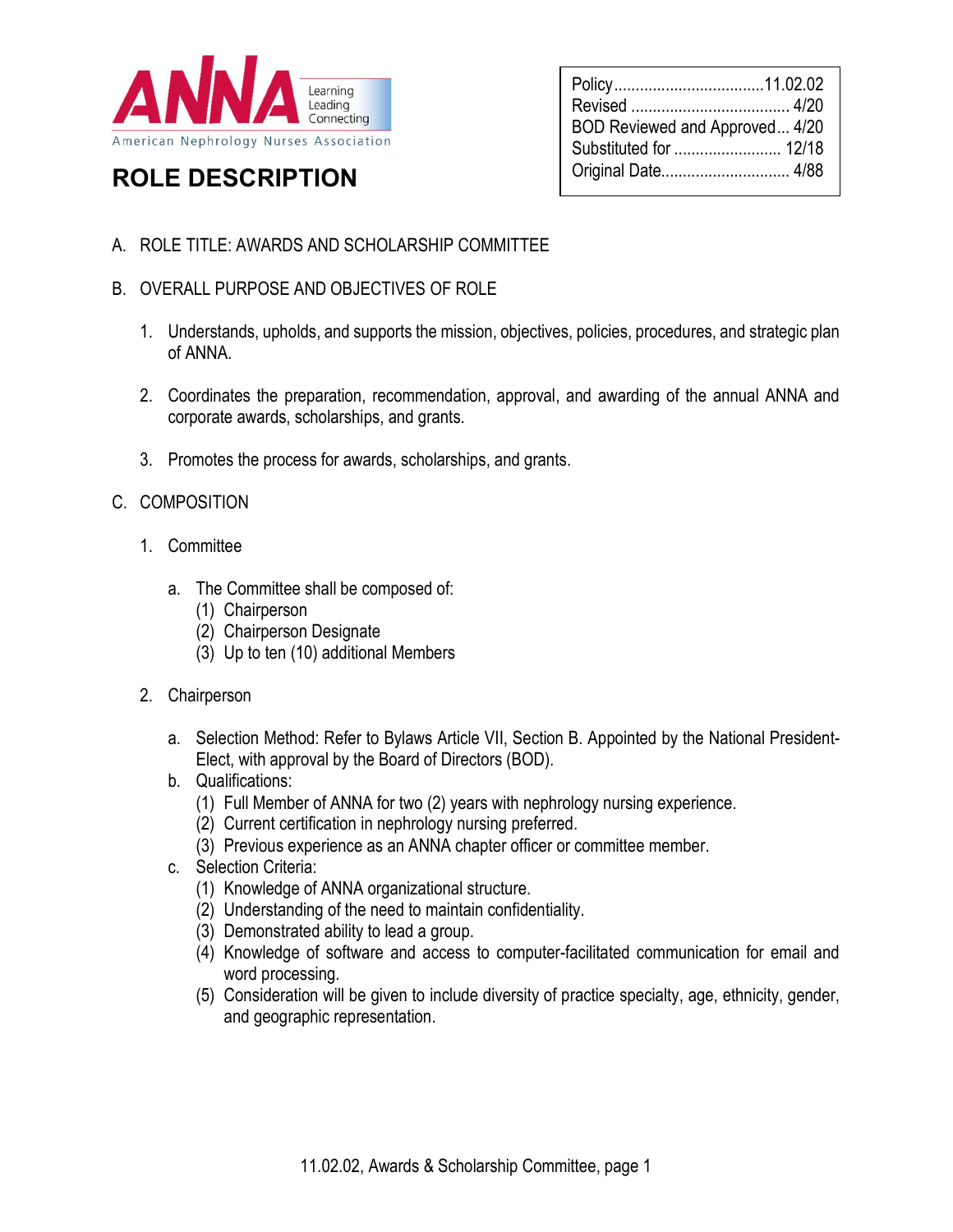

# ROLE DESCRIPTION

| BOD Reviewed and Approved 4/20 |  |
|--------------------------------|--|
| Original Date 4/88             |  |
|                                |  |

## A. ROLE TITLE: AWARDS AND SCHOLARSHIP COMMITTEE

- B. OVERALL PURPOSE AND OBJECTIVES OF ROLE
	- 1. Understands, upholds, and supports the mission, objectives, policies, procedures, and strategic plan of ANNA.
	- 2. Coordinates the preparation, recommendation, approval, and awarding of the annual ANNA and corporate awards, scholarships, and grants.
	- 3. Promotes the process for awards, scholarships, and grants.

### C. COMPOSITION

- 1. Committee
	- a. The Committee shall be composed of:
		- (1) Chairperson
		- (2) Chairperson Designate
		- (3) Up to ten (10) additional Members
- 2. Chairperson
	- a. Selection Method: Refer to Bylaws Article VII, Section B. Appointed by the National President-Elect, with approval by the Board of Directors (BOD).
	- b. Qualifications:
		- (1) Full Member of ANNA for two (2) years with nephrology nursing experience.
		- (2) Current certification in nephrology nursing preferred.
		- (3) Previous experience as an ANNA chapter officer or committee member.
	- c. Selection Criteria:
		- (1) Knowledge of ANNA organizational structure.
		- (2) Understanding of the need to maintain confidentiality.
		- (3) Demonstrated ability to lead a group.
		- (4) Knowledge of software and access to computer-facilitated communication for email and word processing.
		- (5) Consideration will be given to include diversity of practice specialty, age, ethnicity, gender, and geographic representation.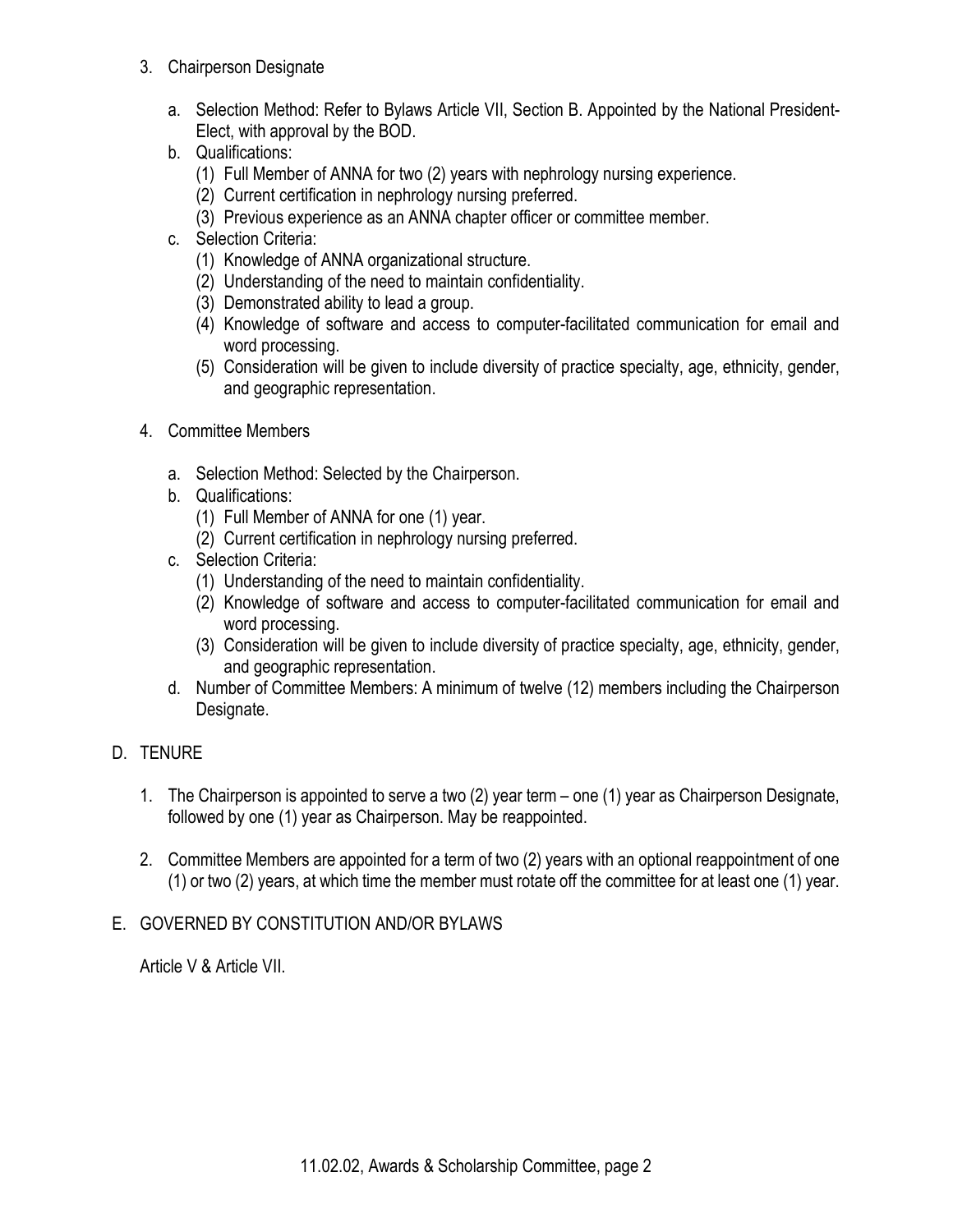- 3. Chairperson Designate
	- a. Selection Method: Refer to Bylaws Article VII, Section B. Appointed by the National President-Elect, with approval by the BOD.
	- b. Qualifications:
		- (1) Full Member of ANNA for two (2) years with nephrology nursing experience.
		- (2) Current certification in nephrology nursing preferred.
		- (3) Previous experience as an ANNA chapter officer or committee member.
	- c. Selection Criteria:
		- (1) Knowledge of ANNA organizational structure.
		- (2) Understanding of the need to maintain confidentiality.
		- (3) Demonstrated ability to lead a group.
		- (4) Knowledge of software and access to computer-facilitated communication for email and word processing.
		- (5) Consideration will be given to include diversity of practice specialty, age, ethnicity, gender, and geographic representation.
- 4. Committee Members
	- a. Selection Method: Selected by the Chairperson.
	- b. Qualifications:
		- (1) Full Member of ANNA for one (1) year.
		- (2) Current certification in nephrology nursing preferred.
	- c. Selection Criteria:
		- (1) Understanding of the need to maintain confidentiality.
		- (2) Knowledge of software and access to computer-facilitated communication for email and word processing.
		- (3) Consideration will be given to include diversity of practice specialty, age, ethnicity, gender, and geographic representation.
	- d. Number of Committee Members: A minimum of twelve (12) members including the Chairperson Designate.
- D. TENURE
	- 1. The Chairperson is appointed to serve a two (2) year term one (1) year as Chairperson Designate, followed by one (1) year as Chairperson. May be reappointed.
	- 2. Committee Members are appointed for a term of two (2) years with an optional reappointment of one (1) or two (2) years, at which time the member must rotate off the committee for at least one (1) year.

# E. GOVERNED BY CONSTITUTION AND/OR BYLAWS

Article V & Article VII.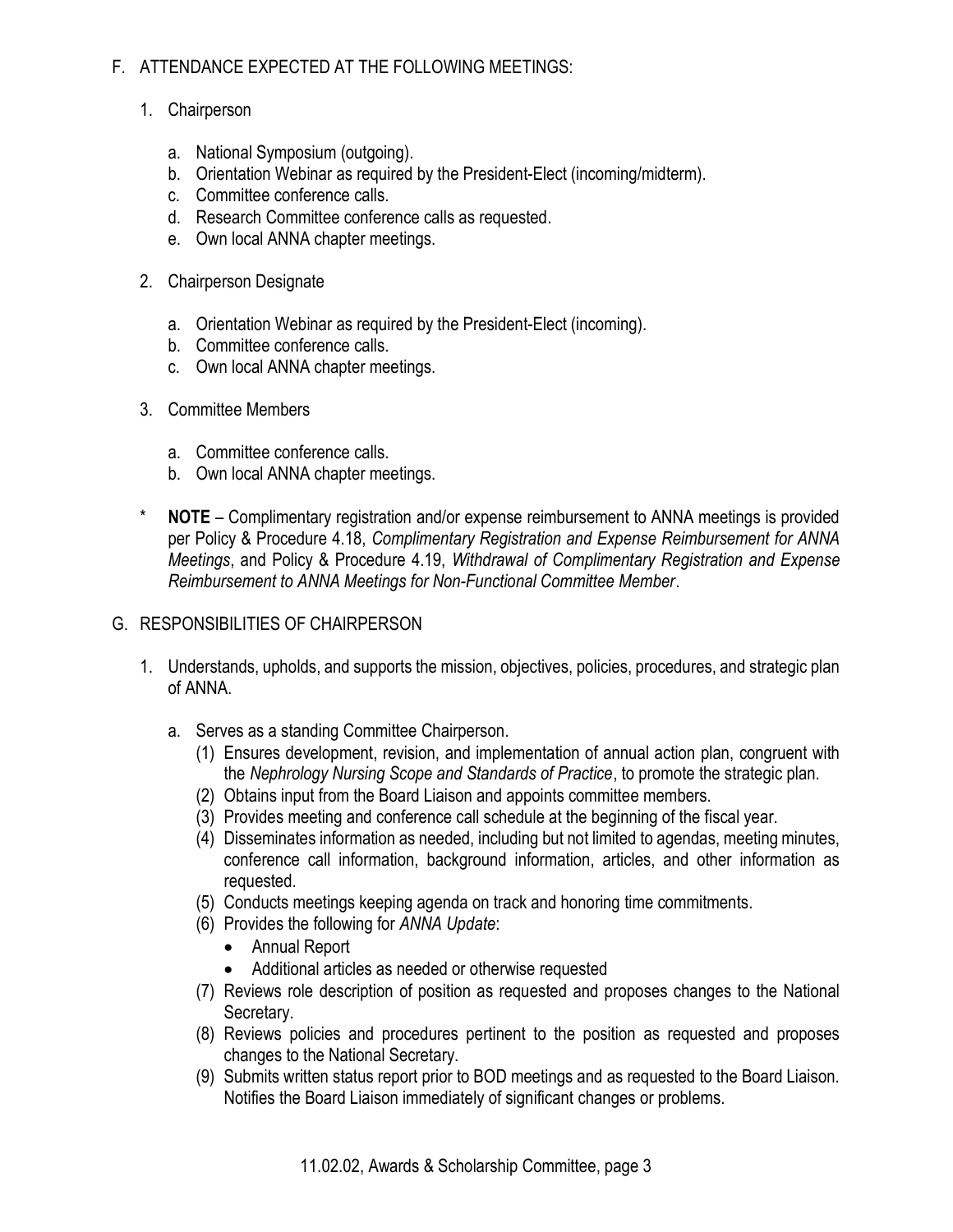## F. ATTENDANCE EXPECTED AT THE FOLLOWING MEETINGS:

- 1. Chairperson
	- a. National Symposium (outgoing).
	- b. Orientation Webinar as required by the President-Elect (incoming/midterm).
	- c. Committee conference calls.
	- d. Research Committee conference calls as requested.
	- e. Own local ANNA chapter meetings.
- 2. Chairperson Designate
	- a. Orientation Webinar as required by the President-Elect (incoming).
	- b. Committee conference calls.
	- c. Own local ANNA chapter meetings.
- 3. Committee Members
	- a. Committee conference calls.
	- b. Own local ANNA chapter meetings.
- \* NOTE Complimentary registration and/or expense reimbursement to ANNA meetings is provided per Policy & Procedure 4.18, Complimentary Registration and Expense Reimbursement for ANNA Meetings, and Policy & Procedure 4.19, Withdrawal of Complimentary Registration and Expense Reimbursement to ANNA Meetings for Non-Functional Committee Member.

### G. RESPONSIBILITIES OF CHAIRPERSON

- 1. Understands, upholds, and supports the mission, objectives, policies, procedures, and strategic plan of ANNA.
	- a. Serves as a standing Committee Chairperson.
		- (1) Ensures development, revision, and implementation of annual action plan, congruent with the Nephrology Nursing Scope and Standards of Practice, to promote the strategic plan.
		- (2) Obtains input from the Board Liaison and appoints committee members.
		- (3) Provides meeting and conference call schedule at the beginning of the fiscal year.
		- (4) Disseminates information as needed, including but not limited to agendas, meeting minutes, conference call information, background information, articles, and other information as requested.
		- (5) Conducts meetings keeping agenda on track and honoring time commitments.
		- (6) Provides the following for ANNA Update:
			- Annual Report
			- Additional articles as needed or otherwise requested
		- (7) Reviews role description of position as requested and proposes changes to the National Secretary.
		- (8) Reviews policies and procedures pertinent to the position as requested and proposes changes to the National Secretary.
		- (9) Submits written status report prior to BOD meetings and as requested to the Board Liaison. Notifies the Board Liaison immediately of significant changes or problems.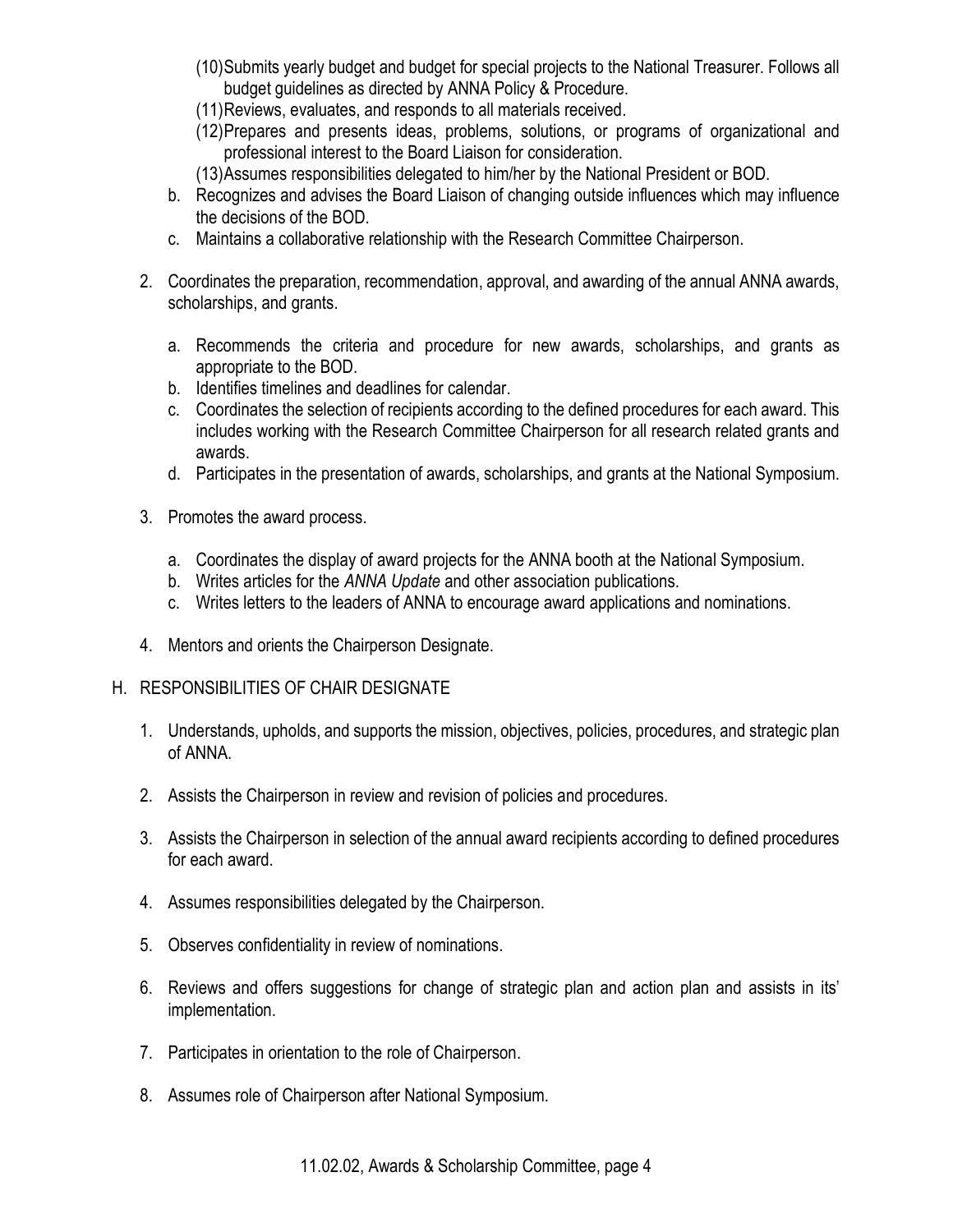- (10)Submits yearly budget and budget for special projects to the National Treasurer. Follows all budget guidelines as directed by ANNA Policy & Procedure.
- (11)Reviews, evaluates, and responds to all materials received.
- (12)Prepares and presents ideas, problems, solutions, or programs of organizational and professional interest to the Board Liaison for consideration.
- (13)Assumes responsibilities delegated to him/her by the National President or BOD.
- b. Recognizes and advises the Board Liaison of changing outside influences which may influence the decisions of the BOD.
- c. Maintains a collaborative relationship with the Research Committee Chairperson.
- 2. Coordinates the preparation, recommendation, approval, and awarding of the annual ANNA awards, scholarships, and grants.
	- a. Recommends the criteria and procedure for new awards, scholarships, and grants as appropriate to the BOD.
	- b. Identifies timelines and deadlines for calendar.
	- c. Coordinates the selection of recipients according to the defined procedures for each award. This includes working with the Research Committee Chairperson for all research related grants and awards.
	- d. Participates in the presentation of awards, scholarships, and grants at the National Symposium.
- 3. Promotes the award process.
	- a. Coordinates the display of award projects for the ANNA booth at the National Symposium.
	- b. Writes articles for the ANNA Update and other association publications.
	- c. Writes letters to the leaders of ANNA to encourage award applications and nominations.
- 4. Mentors and orients the Chairperson Designate.
- H. RESPONSIBILITIES OF CHAIR DESIGNATE
	- 1. Understands, upholds, and supports the mission, objectives, policies, procedures, and strategic plan of ANNA.
	- 2. Assists the Chairperson in review and revision of policies and procedures.
	- 3. Assists the Chairperson in selection of the annual award recipients according to defined procedures for each award.
	- 4. Assumes responsibilities delegated by the Chairperson.
	- 5. Observes confidentiality in review of nominations.
	- 6. Reviews and offers suggestions for change of strategic plan and action plan and assists in its' implementation.
	- 7. Participates in orientation to the role of Chairperson.
	- 8. Assumes role of Chairperson after National Symposium.